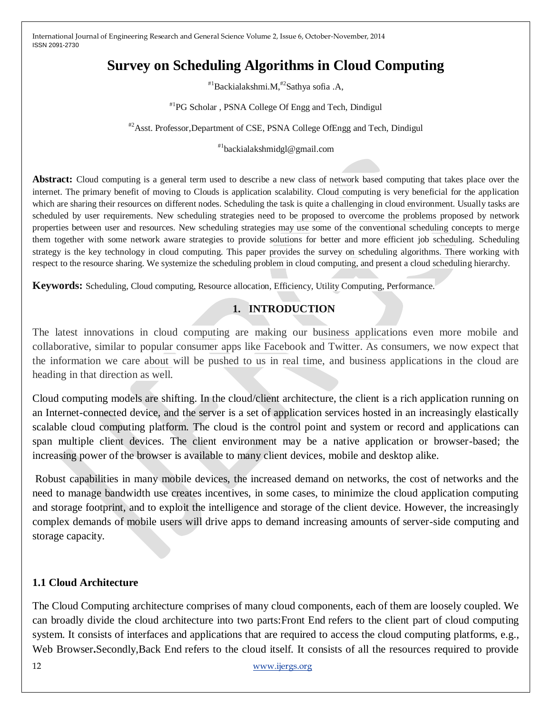# **Survey on Scheduling Algorithms in Cloud Computing**

#1Backialakshmi.M,#2Sathya sofia .A,

#1PG Scholar , PSNA College Of Engg and Tech, Dindigul

#2Asst. Professor,Department of CSE, PSNA College OfEngg and Tech, Dindigul

#1backialakshmidgl@gmail.com

**Abstract:** Cloud computing is a general term used to describe a new class of network based computing that takes place over the internet. The primary benefit of moving to Clouds is application scalability. Cloud computing is very beneficial for the application which are sharing their resources on different nodes. Scheduling the task is quite a challenging in cloud environment. Usually tasks are scheduled by user requirements. New scheduling strategies need to be proposed to overcome the problems proposed by network properties between user and resources. New scheduling strategies may use some of the conventional scheduling concepts to merge them together with some network aware strategies to provide solutions for better and more efficient job scheduling. Scheduling strategy is the key technology in cloud computing. This paper provides the survey on scheduling algorithms. There working with respect to the resource sharing. We systemize the scheduling problem in cloud computing, and present a cloud scheduling hierarchy.

**Keywords:** Scheduling, Cloud computing, Resource allocation, Efficiency, Utility Computing, Performance.

# **1. INTRODUCTION**

The latest innovations in cloud computing are making our business applications even more mobile and collaborative, similar to popular consumer apps like Facebook and Twitter. As consumers, we now expect that the information we care about will be pushed to us in real time, and business applications in the cloud are heading in that direction as well.

Cloud computing models are shifting. In the cloud/client architecture, the client is a rich application running on an Internet-connected device, and the server is a set of application services hosted in an increasingly elastically scalable cloud computing platform. The cloud is the control point and system or record and applications can span multiple client devices. The client environment may be a native application or browser-based; the increasing power of the browser is available to many client devices, mobile and desktop alike.

Robust capabilities in many mobile devices, the increased demand on networks, the cost of networks and the need to manage bandwidth use creates incentives, in some cases, to minimize the cloud application computing and storage footprint, and to exploit the intelligence and storage of the client device. However, the increasingly complex demands of mobile users will drive apps to demand increasing amounts of server-side computing and storage capacity.

# **1.1 Cloud Architecture**

The Cloud Computing architecture comprises of many cloud components, each of them are loosely coupled. We can broadly divide the cloud architecture into two parts:Front End refers to the client part of cloud computing system. It consists of interfaces and applications that are required to access the cloud computing platforms, e.g., Web Browser.Secondly,Back End refers to the cloud itself. It consists of all the resources required to provide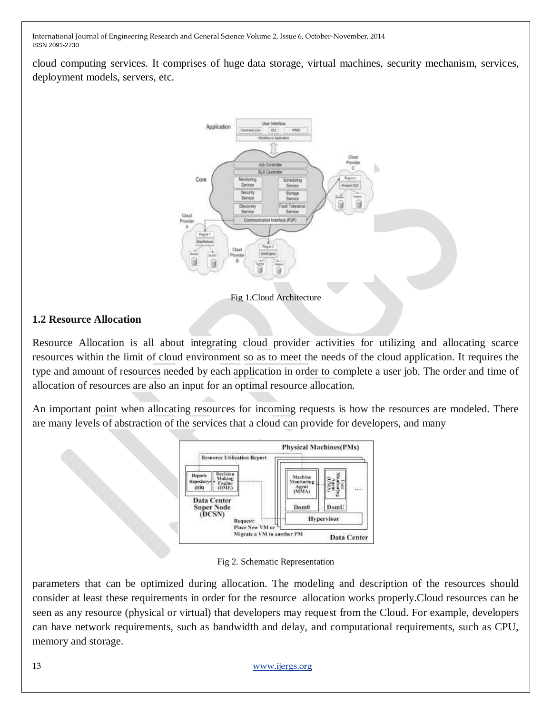cloud computing services. It comprises of huge data storage, virtual machines, security mechanism, services, deployment models, servers, etc.



Fig 1.Cloud Architecture

#### **1.2 Resource Allocation**

Resource Allocation is all about integrating cloud provider activities for utilizing and allocating scarce resources within the limit of cloud environment so as to meet the needs of the cloud application. It requires the type and amount of resources needed by each application in order to complete a user job. The order and time of allocation of resources are also an input for an optimal resource allocation.

An important point when allocating resources for incoming requests is how the resources are modeled. There are many levels of abstraction of the services that a cloud can provide for developers, and many



Fig 2. Schematic Representation

parameters that can be optimized during allocation. The modeling and description of the resources should consider at least these requirements in order for the resource allocation works properly.Cloud resources can be seen as any resource (physical or virtual) that developers may request from the Cloud. For example, developers can have network requirements, such as bandwidth and delay, and computational requirements, such as CPU, memory and storage.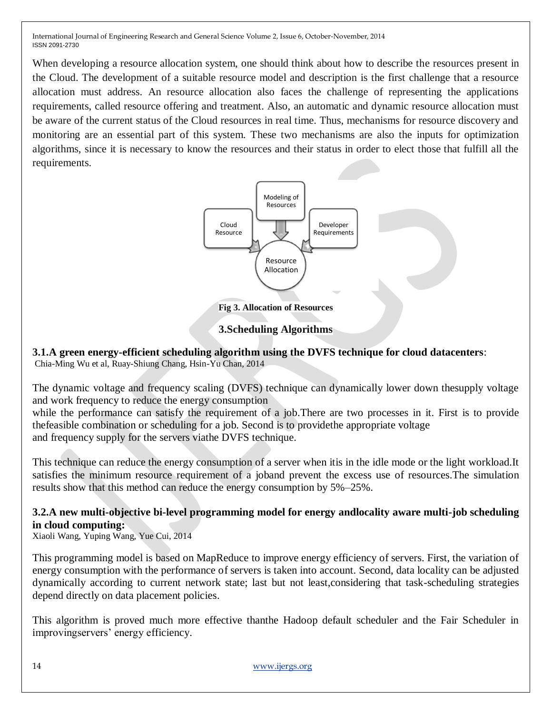When developing a resource allocation system, one should think about how to describe the resources present in the Cloud. The development of a suitable resource model and description is the first challenge that a resource allocation must address. An resource allocation also faces the challenge of representing the applications requirements, called resource offering and treatment. Also, an automatic and dynamic resource allocation must be aware of the current status of the Cloud resources in real time. Thus, mechanisms for resource discovery and monitoring are an essential part of this system. These two mechanisms are also the inputs for optimization algorithms, since it is necessary to know the resources and their status in order to elect those that fulfill all the requirements.



**Fig 3. Allocation of Resources**

#### **3.Scheduling Algorithms**

**3.1.A green energy-efficient scheduling algorithm using the DVFS technique for cloud datacenters**: Chia-Ming Wu et al, Ruay-Shiung Chang, Hsin-Yu Chan, 2014

The dynamic voltage and frequency scaling (DVFS) technique can dynamically lower down thesupply voltage and work frequency to reduce the energy consumption

while the performance can satisfy the requirement of a job. There are two processes in it. First is to provide thefeasible combination or scheduling for a job. Second is to providethe appropriate voltage and frequency supply for the servers viathe DVFS technique.

This technique can reduce the energy consumption of a server when itis in the idle mode or the light workload.It satisfies the minimum resource requirement of a joband prevent the excess use of resources.The simulation results show that this method can reduce the energy consumption by 5%–25%.

# **3.2.A new multi-objective bi-level programming model for energy andlocality aware multi-job scheduling in cloud computing:**

Xiaoli Wang, Yuping Wang, Yue Cui, 2014

This programming model is based on MapReduce to improve energy efficiency of servers. First, the variation of energy consumption with the performance of servers is taken into account. Second, data locality can be adjusted dynamically according to current network state; last but not least,considering that task-scheduling strategies depend directly on data placement policies.

This algorithm is proved much more effective thanthe Hadoop default scheduler and the Fair Scheduler in improvingservers' energy efficiency.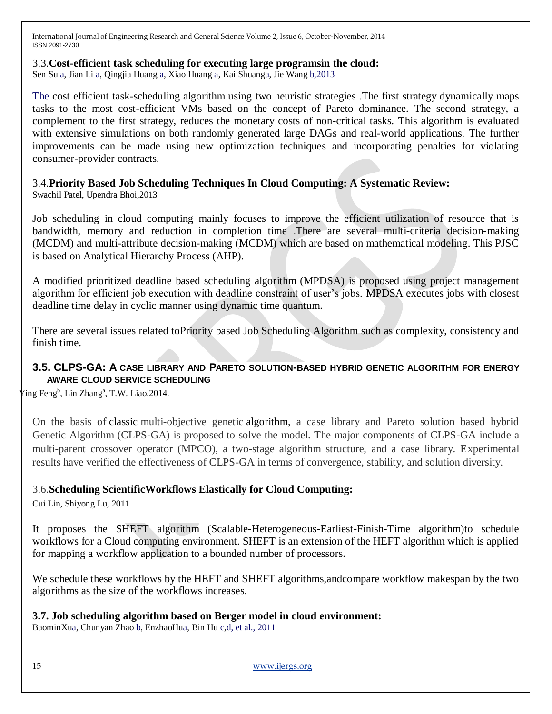#### 3.3.**Cost-efficient task scheduling for executing large programsin the cloud:**

Sen Su a, Jian Li a, Qingjia Huang a, Xiao Huang a, Kai Shuanga, Jie Wang b,2013

The cost efficient task-scheduling algorithm using two heuristic strategies .The first strategy dynamically maps tasks to the most cost-efficient VMs based on the concept of Pareto dominance. The second strategy, a complement to the first strategy, reduces the monetary costs of non-critical tasks. This algorithm is evaluated with extensive simulations on both randomly generated large DAGs and real-world applications. The further improvements can be made using new optimization techniques and incorporating penalties for violating consumer-provider contracts.

# 3.4.**Priority Based Job Scheduling Techniques In Cloud Computing: A Systematic Review:**

Swachil Patel, Upendra Bhoi,2013

Job scheduling in cloud computing mainly focuses to improve the efficient utilization of resource that is bandwidth, memory and reduction in completion time .There are several multi-criteria decision-making (MCDM) and multi-attribute decision-making (MCDM) which are based on mathematical modeling. This PJSC is based on Analytical Hierarchy Process (AHP).

A modified prioritized deadline based scheduling algorithm (MPDSA) is proposed using project management algorithm for efficient job execution with deadline constraint of user"s jobs. MPDSA executes jobs with closest deadline time delay in cyclic manner using dynamic time quantum.

There are several issues related toPriority based Job Scheduling Algorithm such as complexity, consistency and finish time.

#### **3.5. CLPS-GA: A CASE LIBRARY AND PARETO SOLUTION-BASED HYBRID GENETIC ALGORITHM FOR ENERGY AWARE CLOUD SERVICE SCHEDULING**

[Ying Feng](http://www.sciencedirect.com/science/article/pii/S1568494614000568)<sup>b</sup>, [Lin Zhang](http://www.sciencedirect.com/science/article/pii/S1568494614000568)<sup>a</sup>, [T.W. Liao,](http://www.sciencedirect.com/science/article/pii/S1568494614000568) 2014.

On the basis of classic multi-objective genetic algorithm, a case library and Pareto solution based hybrid Genetic Algorithm (CLPS-GA) is proposed to solve the model. The major components of CLPS-GA include a multi-parent crossover operator (MPCO), a two-stage algorithm structure, and a case library. Experimental results have verified the effectiveness of CLPS-GA in terms of convergence, stability, and solution diversity.

# 3.6.**Scheduling ScientificWorkflows Elastically for Cloud Computing:**

Cui Lin, Shiyong Lu, 2011

It proposes the SHEFT algorithm (Scalable-Heterogeneous-Earliest-Finish-Time algorithm)to schedule workflows for a Cloud computing environment. SHEFT is an extension of the HEFT algorithm which is applied for mapping a workflow application to a bounded number of processors.

We schedule these workflows by the HEFT and SHEFT algorithms,andcompare workflow makespan by the two algorithms as the size of the workflows increases.

#### **3.7. Job scheduling algorithm based on Berger model in cloud environment:**

BaominXua, Chunyan Zhao b, EnzhaoHua, Bin Hu c,d, et al., 2011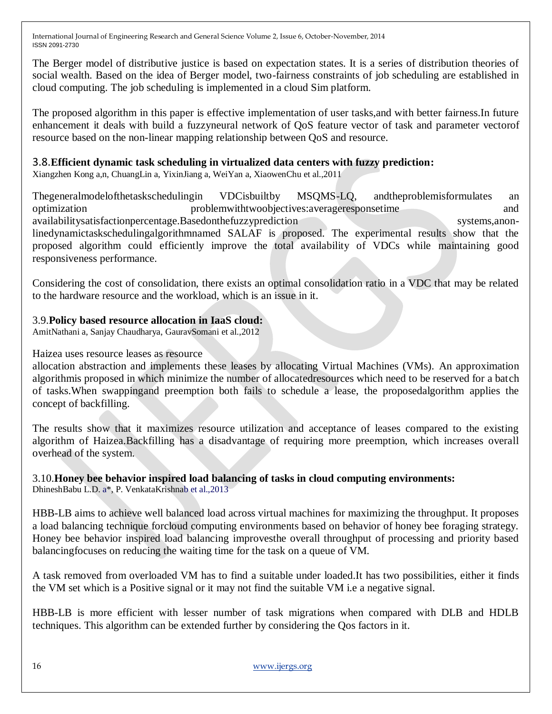The Berger model of distributive justice is based on expectation states. It is a series of distribution theories of social wealth. Based on the idea of Berger model, two-fairness constraints of job scheduling are established in cloud computing. The job scheduling is implemented in a cloud Sim platform.

The proposed algorithm in this paper is effective implementation of user tasks,and with better fairness.In future enhancement it deals with build a fuzzyneural network of QoS feature vector of task and parameter vectorof resource based on the non-linear mapping relationship between QoS and resource.

#### 3.8.**Efficient dynamic task scheduling in virtualized data centers with fuzzy prediction:**

Xiangzhen Kong a,n, ChuangLin a, YixinJiang a, WeiYan a, XiaowenChu et al.,2011

Thegeneralmodelofthetaskschedulingin VDCisbuiltby MSQMS-LQ, andtheproblemisformulates an optimization problemwithtwoobjectives:averageresponsetime and availabilitysatisfactionpercentage.Basedonthefuzzyprediction systems,anonlinedynamictaskschedulingalgorithmnamed SALAF is proposed. The experimental results show that the proposed algorithm could efficiently improve the total availability of VDCs while maintaining good responsiveness performance.

Considering the cost of consolidation, there exists an optimal consolidation ratio in a VDC that may be related to the hardware resource and the workload, which is an issue in it.

#### 3.9.**Policy based resource allocation in IaaS cloud:**

AmitNathani a, Sanjay Chaudharya, GauravSomani et al.,2012

#### Haizea uses resource leases as resource

allocation abstraction and implements these leases by allocating Virtual Machines (VMs). An approximation algorithmis proposed in which minimize the number of allocatedresources which need to be reserved for a batch of tasks.When swappingand preemption both fails to schedule a lease, the proposedalgorithm applies the concept of backfilling.

The results show that it maximizes resource utilization and acceptance of leases compared to the existing algorithm of Haizea.Backfilling has a disadvantage of requiring more preemption, which increases overall overhead of the system.

# 3.10.**Honey bee behavior inspired load balancing of tasks in cloud computing environments:**

DhineshBabu L.D. a\*, P. VenkataKrishnab et al.,2013

HBB-LB aims to achieve well balanced load across virtual machines for maximizing the throughput. It proposes a load balancing technique forcloud computing environments based on behavior of honey bee foraging strategy. Honey bee behavior inspired load balancing improvesthe overall throughput of processing and priority based balancingfocuses on reducing the waiting time for the task on a queue of VM.

A task removed from overloaded VM has to find a suitable under loaded.It has two possibilities, either it finds the VM set which is a Positive signal or it may not find the suitable VM i.e a negative signal.

HBB-LB is more efficient with lesser number of task migrations when compared with DLB and HDLB techniques. This algorithm can be extended further by considering the Qos factors in it.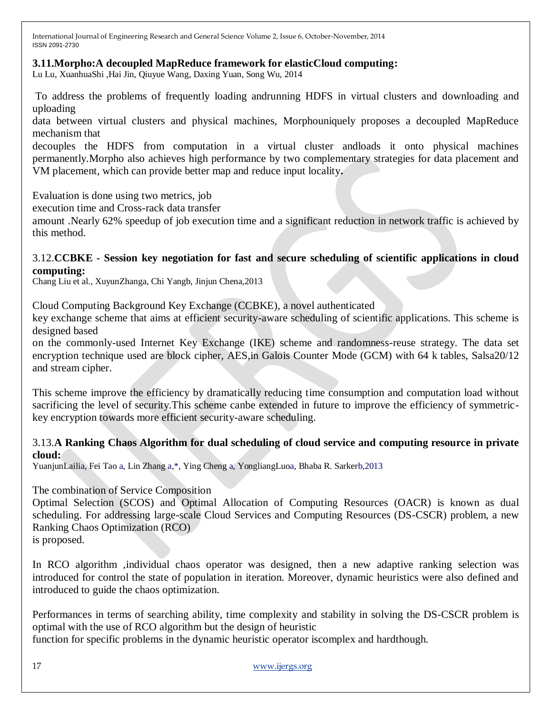#### **3.11.Morpho:A decoupled MapReduce framework for elasticCloud computing:**

Lu Lu, XuanhuaShi ,Hai Jin, Qiuyue Wang, Daxing Yuan, Song Wu, 2014

To address the problems of frequently loading andrunning HDFS in virtual clusters and downloading and uploading

data between virtual clusters and physical machines, Morphouniquely proposes a decoupled MapReduce mechanism that

decouples the HDFS from computation in a virtual cluster andloads it onto physical machines permanently.Morpho also achieves high performance by two complementary strategies for data placement and VM placement, which can provide better map and reduce input locality**.**

Evaluation is done using two metrics, job

execution time and Cross-rack data transfer

amount .Nearly 62% speedup of job execution time and a significant reduction in network traffic is achieved by this method.

#### 3.12.**CCBKE - Session key negotiation for fast and secure scheduling of scientific applications in cloud computing:**

Chang Liu et al., XuyunZhanga, Chi Yangb, Jinjun Chena,2013

Cloud Computing Background Key Exchange (CCBKE), a novel authenticated

key exchange scheme that aims at efficient security-aware scheduling of scientific applications. This scheme is designed based

on the commonly-used Internet Key Exchange (IKE) scheme and randomness-reuse strategy. The data set encryption technique used are block cipher, AES,in Galois Counter Mode (GCM) with 64 k tables, Salsa20/12 and stream cipher.

This scheme improve the efficiency by dramatically reducing time consumption and computation load without sacrificing the level of security.This scheme canbe extended in future to improve the efficiency of symmetrickey encryption towards more efficient security-aware scheduling.

#### 3.13.**A Ranking Chaos Algorithm for dual scheduling of cloud service and computing resource in private cloud:**

YuanjunLailia, Fei Tao a, Lin Zhang a,\*, Ying Cheng a, YongliangLuoa, Bhaba R. Sarkerb,2013

#### The combination of Service Composition

Optimal Selection (SCOS) and Optimal Allocation of Computing Resources (OACR) is known as dual scheduling. For addressing large-scale Cloud Services and Computing Resources (DS-CSCR) problem, a new Ranking Chaos Optimization (RCO)

is proposed.

In RCO algorithm ,individual chaos operator was designed, then a new adaptive ranking selection was introduced for control the state of population in iteration. Moreover, dynamic heuristics were also defined and introduced to guide the chaos optimization.

Performances in terms of searching ability, time complexity and stability in solving the DS-CSCR problem is optimal with the use of RCO algorithm but the design of heuristic

function for specific problems in the dynamic heuristic operator iscomplex and hardthough.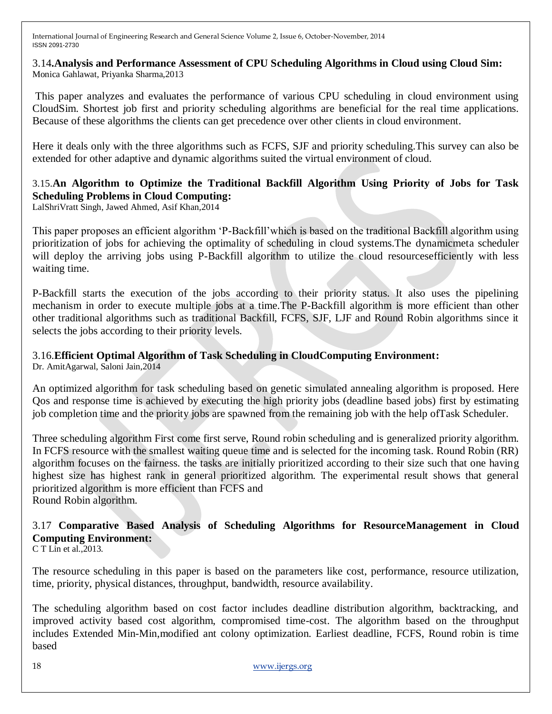3.14**.Analysis and Performance Assessment of CPU Scheduling Algorithms in Cloud using Cloud Sim:** Monica Gahlawat, Priyanka Sharma,2013

This paper analyzes and evaluates the performance of various CPU scheduling in cloud environment using CloudSim. Shortest job first and priority scheduling algorithms are beneficial for the real time applications. Because of these algorithms the clients can get precedence over other clients in cloud environment.

Here it deals only with the three algorithms such as FCFS, SJF and priority scheduling.This survey can also be extended for other adaptive and dynamic algorithms suited the virtual environment of cloud.

# 3.15.**An Algorithm to Optimize the Traditional Backfill Algorithm Using Priority of Jobs for Task Scheduling Problems in Cloud Computing:**

LalShriVratt Singh, Jawed Ahmed, Asif Khan,2014

This paper proposes an efficient algorithm "P-Backfill"which is based on the traditional Backfill algorithm using prioritization of jobs for achieving the optimality of scheduling in cloud systems.The dynamicmeta scheduler will deploy the arriving jobs using P-Backfill algorithm to utilize the cloud resources efficiently with less waiting time.

P-Backfill starts the execution of the jobs according to their priority status. It also uses the pipelining mechanism in order to execute multiple jobs at a time.The P-Backfill algorithm is more efficient than other other traditional algorithms such as traditional Backfill, FCFS, SJF, LJF and Round Robin algorithms since it selects the jobs according to their priority levels.

#### 3.16.**Efficient Optimal Algorithm of Task Scheduling in CloudComputing Environment:**

Dr. AmitAgarwal, Saloni Jain,2014

An optimized algorithm for task scheduling based on genetic simulated annealing algorithm is proposed. Here Qos and response time is achieved by executing the high priority jobs (deadline based jobs) first by estimating job completion time and the priority jobs are spawned from the remaining job with the help ofTask Scheduler.

Three scheduling algorithm First come first serve, Round robin scheduling and is generalized priority algorithm. In FCFS resource with the smallest waiting queue time and is selected for the incoming task. Round Robin (RR) algorithm focuses on the fairness. the tasks are initially prioritized according to their size such that one having highest size has highest rank in general prioritized algorithm. The experimental result shows that general prioritized algorithm is more efficient than FCFS and Round Robin algorithm.

# 3.17 **Comparative Based Analysis of Scheduling Algorithms for ResourceManagement in Cloud Computing Environment:**

C T Lin et al.,2013.

The resource scheduling in this paper is based on the parameters like cost, performance, resource utilization, time, priority, physical distances, throughput, bandwidth, resource availability.

The scheduling algorithm based on cost factor includes deadline distribution algorithm, backtracking, and improved activity based cost algorithm, compromised time-cost. The algorithm based on the throughput includes Extended Min-Min,modified ant colony optimization. Earliest deadline, FCFS, Round robin is time based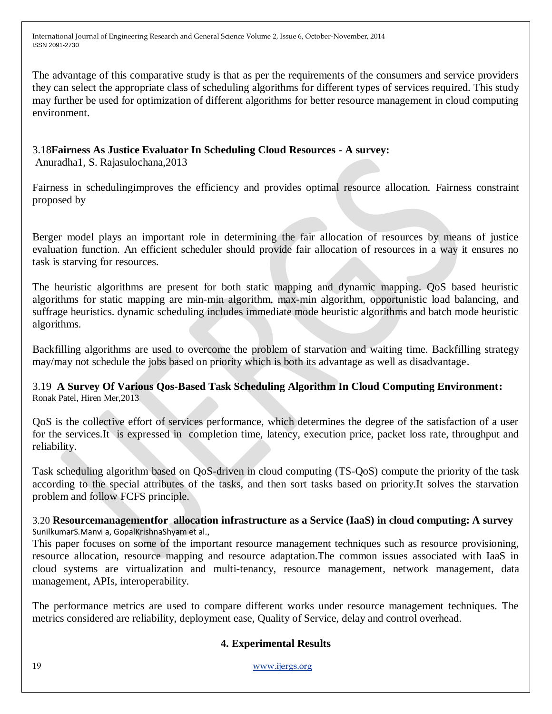The advantage of this comparative study is that as per the requirements of the consumers and service providers they can select the appropriate class of scheduling algorithms for different types of services required. This study may further be used for optimization of different algorithms for better resource management in cloud computing environment.

3.18**Fairness As Justice Evaluator In Scheduling Cloud Resources - A survey:**

Anuradha1, S. Rajasulochana,2013

Fairness in schedulingimproves the efficiency and provides optimal resource allocation. Fairness constraint proposed by

Berger model plays an important role in determining the fair allocation of resources by means of justice evaluation function. An efficient scheduler should provide fair allocation of resources in a way it ensures no task is starving for resources.

The heuristic algorithms are present for both static mapping and dynamic mapping. QoS based heuristic algorithms for static mapping are min-min algorithm, max-min algorithm, opportunistic load balancing, and suffrage heuristics. dynamic scheduling includes immediate mode heuristic algorithms and batch mode heuristic algorithms.

Backfilling algorithms are used to overcome the problem of starvation and waiting time. Backfilling strategy may/may not schedule the jobs based on priority which is both its advantage as well as disadvantage.

3.19 **A Survey Of Various Qos-Based Task Scheduling Algorithm In Cloud Computing Environment:** Ronak Patel, Hiren Mer,2013

QoS is the collective effort of services performance, which determines the degree of the satisfaction of a user for the services.It is expressed in completion time, latency, execution price, packet loss rate, throughput and reliability.

Task scheduling algorithm based on QoS-driven in cloud computing (TS-QoS) compute the priority of the task according to the special attributes of the tasks, and then sort tasks based on priority.It solves the starvation problem and follow FCFS principle.

3.20 **Resourcemanagementfor allocation infrastructure as a Service (IaaS) in cloud computing: A survey** SunilkumarS.Manvi a, GopalKrishnaShyam et al.,

This paper focuses on some of the important resource management techniques such as resource provisioning, resource allocation, resource mapping and resource adaptation.The common issues associated with IaaS in cloud systems are virtualization and multi-tenancy, resource management, network management, data management, APIs, interoperability.

The performance metrics are used to compare different works under resource management techniques. The metrics considered are reliability, deployment ease, Quality of Service, delay and control overhead.

#### **4. Experimental Results**

19 [www.ijergs.org](http://www.ijergs.org/)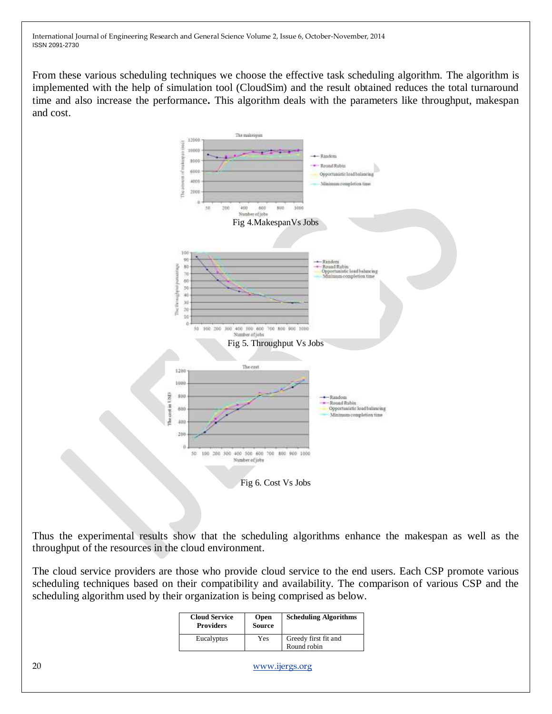From these various scheduling techniques we choose the effective task scheduling algorithm. The algorithm is implemented with the help of simulation tool (CloudSim) and the result obtained reduces the total turnaround time and also increase the performance**.** This algorithm deals with the parameters like throughput, makespan and cost.



Thus the experimental results show that the scheduling algorithms enhance the makespan as well as the throughput of the resources in the cloud environment.

The cloud service providers are those who provide cloud service to the end users. Each CSP promote various scheduling techniques based on their compatibility and availability. The comparison of various CSP and the scheduling algorithm used by their organization is being comprised as below.

| <b>Cloud Service</b><br><b>Providers</b> | <b>Open</b><br><b>Source</b> | <b>Scheduling Algorithms</b>        |
|------------------------------------------|------------------------------|-------------------------------------|
| Eucalyptus                               | Yes                          | Greedy first fit and<br>Round robin |

20 [www.ijergs.org](http://www.ijergs.org/)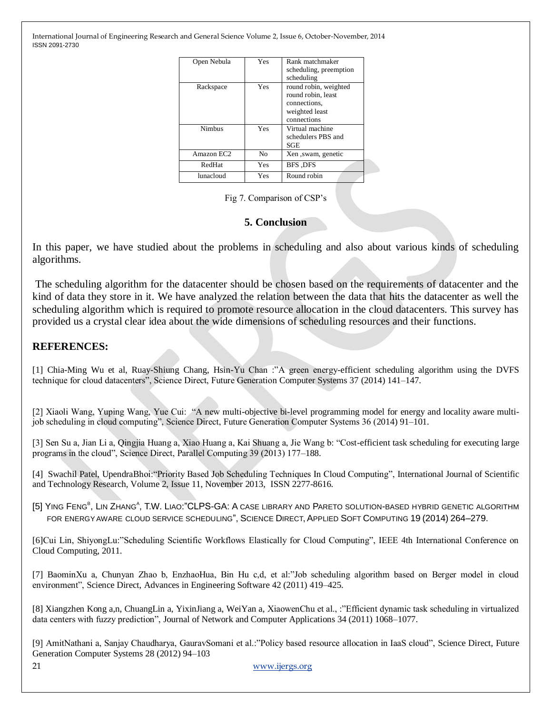| Open Nebula   | Yes | Rank matchmaker<br>scheduling, preemption<br>scheduling                                      |
|---------------|-----|----------------------------------------------------------------------------------------------|
| Rackspace     | Yes | round robin, weighted<br>round robin, least<br>connections,<br>weighted least<br>connections |
| <b>Nimbus</b> | Yes | Virtual machine<br>schedulers PBS and<br>SGE                                                 |
| Amazon EC2    | No  | Xen , swam, genetic                                                                          |
| RedHat        | Yes | BFS DFS                                                                                      |
| lunacloud     | Yes | Round robin                                                                                  |

Fig 7. Comparison of CSP"s

#### **5. Conclusion**

In this paper, we have studied about the problems in scheduling and also about various kinds of scheduling algorithms.

The scheduling algorithm for the datacenter should be chosen based on the requirements of datacenter and the kind of data they store in it. We have analyzed the relation between the data that hits the datacenter as well the scheduling algorithm which is required to promote resource allocation in the cloud datacenters. This survey has provided us a crystal clear idea about the wide dimensions of scheduling resources and their functions.

#### **REFERENCES:**

[1] Chia-Ming Wu et al, Ruay-Shiung Chang, Hsin-Yu Chan :"A green energy-efficient scheduling algorithm using the DVFS technique for cloud datacenters", Science Direct, Future Generation Computer Systems 37 (2014) 141–147.

[2] Xiaoli Wang, Yuping Wang, Yue Cui: "A new multi-objective bi-level programming model for energy and locality aware multijob scheduling in cloud computing", Science Direct, Future Generation Computer Systems 36 (2014) 91–101.

[3] Sen Su a, Jian Li a, Qingjia Huang a, Xiao Huang a, Kai Shuang a, Jie Wang b: "Cost-efficient task scheduling for executing large programs in the cloud", Science Direct, Parallel Computing 39 (2013) 177–188.

[4] Swachil Patel, UpendraBhoi:"Priority Based Job Scheduling Techniques In Cloud Computing", International Journal of Scientific and Technology Research, Volume 2, Issue 11, November 2013, ISSN 2277-8616.

[5] YING F[ENG](http://www.sciencedirect.com/science/article/pii/S1568494614000568)<sup>B</sup>[,](http://www.sciencedirect.com/science/article/pii/S1568494614000568) LIN Z[HANG](http://www.sciencedirect.com/science/article/pii/S1568494614000568)<sup>A</sup>, [T.W.](http://www.sciencedirect.com/science/article/pii/S1568494614000568) LIAO:"CLPS-GA: A CASE LIBRARY AND PARETO SOLUTION-BASED HYBRID GENETIC ALGORITHM FOR ENERGY AWARE CLOUD SERVICE SCHEDULING", SCIENCE DIRECT, APPLIED SOFT COMPUTING 19 (2014) 264–279.

[6]Cui Lin, ShiyongLu:"Scheduling Scientific Workflows Elastically for Cloud Computing", IEEE 4th International Conference on Cloud Computing, 2011.

[7] BaominXu a, Chunyan Zhao b, EnzhaoHua, Bin Hu c,d, et al:"Job scheduling algorithm based on Berger model in cloud environment", Science Direct, Advances in Engineering Software 42 (2011) 419–425.

[8] Xiangzhen Kong a,n, ChuangLin a, YixinJiang a, WeiYan a, XiaowenChu et al., :"Efficient dynamic task scheduling in virtualized data centers with fuzzy prediction", Journal of Network and Computer Applications 34 (2011) 1068–1077.

[9] AmitNathani a, Sanjay Chaudharya, GauravSomani et al.:"Policy based resource allocation in IaaS cloud", Science Direct, Future Generation Computer Systems 28 (2012) 94–103

21 [www.ijergs.org](http://www.ijergs.org/)